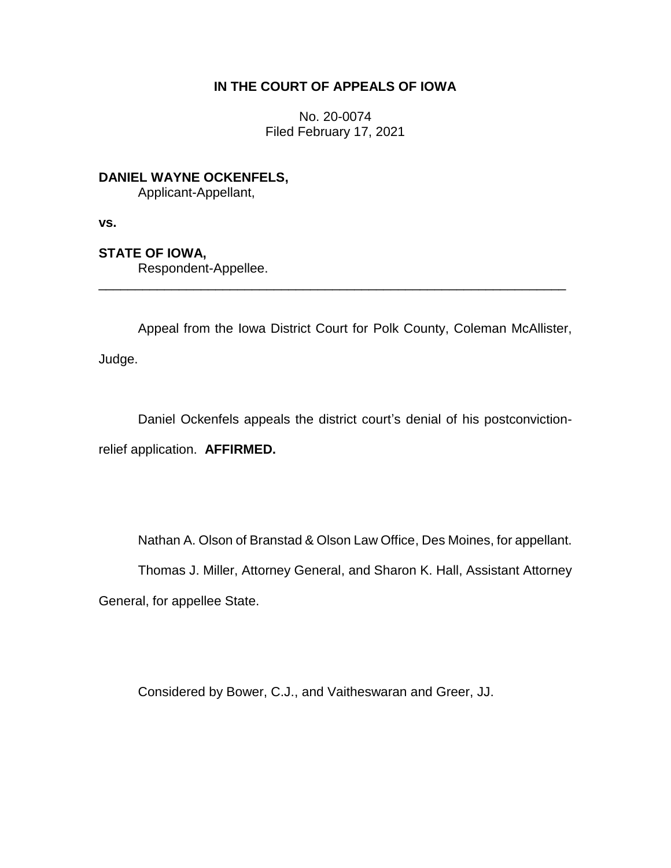# **IN THE COURT OF APPEALS OF IOWA**

No. 20-0074 Filed February 17, 2021

**DANIEL WAYNE OCKENFELS,**

Applicant-Appellant,

**vs.**

# **STATE OF IOWA,**

Respondent-Appellee.

Appeal from the Iowa District Court for Polk County, Coleman McAllister,

\_\_\_\_\_\_\_\_\_\_\_\_\_\_\_\_\_\_\_\_\_\_\_\_\_\_\_\_\_\_\_\_\_\_\_\_\_\_\_\_\_\_\_\_\_\_\_\_\_\_\_\_\_\_\_\_\_\_\_\_\_\_\_\_

Judge.

Daniel Ockenfels appeals the district court's denial of his postconvictionrelief application. **AFFIRMED.**

Nathan A. Olson of Branstad & Olson Law Office, Des Moines, for appellant.

Thomas J. Miller, Attorney General, and Sharon K. Hall, Assistant Attorney

General, for appellee State.

Considered by Bower, C.J., and Vaitheswaran and Greer, JJ.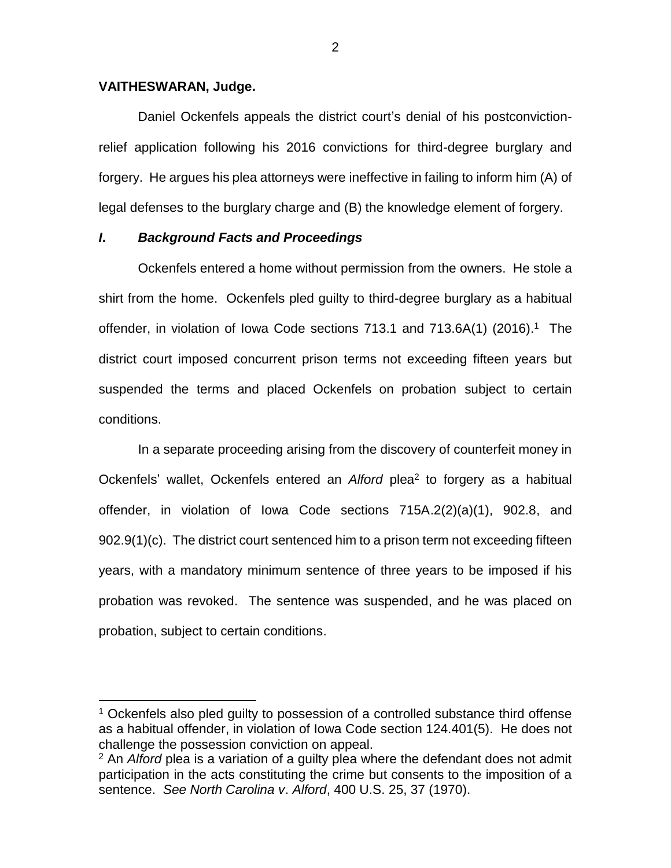### **VAITHESWARAN, Judge.**

 $\overline{a}$ 

Daniel Ockenfels appeals the district court's denial of his postconvictionrelief application following his 2016 convictions for third-degree burglary and forgery. He argues his plea attorneys were ineffective in failing to inform him (A) of legal defenses to the burglary charge and (B) the knowledge element of forgery.

## *I***.** *Background Facts and Proceedings*

Ockenfels entered a home without permission from the owners. He stole a shirt from the home. Ockenfels pled guilty to third-degree burglary as a habitual offender, in violation of Iowa Code sections 713.1 and 713.6A(1) (2016).<sup>1</sup> The district court imposed concurrent prison terms not exceeding fifteen years but suspended the terms and placed Ockenfels on probation subject to certain conditions.

In a separate proceeding arising from the discovery of counterfeit money in Ockenfels' wallet, Ockenfels entered an Alford plea<sup>2</sup> to forgery as a habitual offender, in violation of Iowa Code sections 715A.2(2)(a)(1), 902.8, and 902.9(1)(c). The district court sentenced him to a prison term not exceeding fifteen years, with a mandatory minimum sentence of three years to be imposed if his probation was revoked. The sentence was suspended, and he was placed on probation, subject to certain conditions.

<sup>&</sup>lt;sup>1</sup> Ockenfels also pled quilty to possession of a controlled substance third offense as a habitual offender, in violation of Iowa Code section 124.401(5). He does not challenge the possession conviction on appeal.

<sup>2</sup> An *Alford* plea is a variation of a guilty plea where the defendant does not admit participation in the acts constituting the crime but consents to the imposition of a sentence. *See North Carolina v*. *Alford*, 400 U.S. 25, 37 (1970).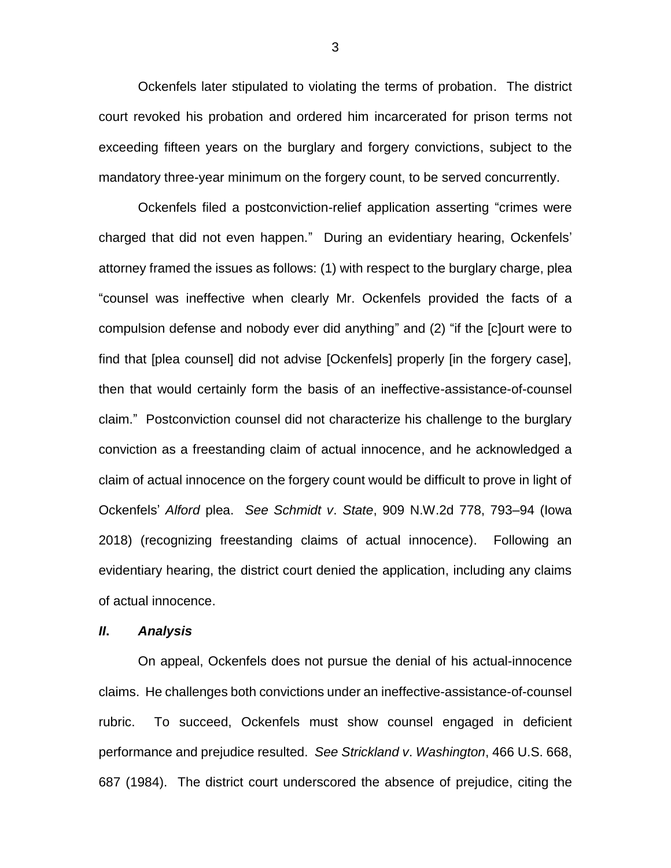Ockenfels later stipulated to violating the terms of probation. The district court revoked his probation and ordered him incarcerated for prison terms not exceeding fifteen years on the burglary and forgery convictions, subject to the mandatory three-year minimum on the forgery count, to be served concurrently.

Ockenfels filed a postconviction-relief application asserting "crimes were charged that did not even happen." During an evidentiary hearing, Ockenfels' attorney framed the issues as follows: (1) with respect to the burglary charge, plea "counsel was ineffective when clearly Mr. Ockenfels provided the facts of a compulsion defense and nobody ever did anything" and (2) "if the [c]ourt were to find that [plea counsel] did not advise [Ockenfels] properly [in the forgery case], then that would certainly form the basis of an ineffective-assistance-of-counsel claim." Postconviction counsel did not characterize his challenge to the burglary conviction as a freestanding claim of actual innocence, and he acknowledged a claim of actual innocence on the forgery count would be difficult to prove in light of Ockenfels' *Alford* plea. *See Schmidt v*. *State*, 909 N.W.2d 778, 793–94 (Iowa 2018) (recognizing freestanding claims of actual innocence). Following an evidentiary hearing, the district court denied the application, including any claims of actual innocence.

#### *II***.** *Analysis*

On appeal, Ockenfels does not pursue the denial of his actual-innocence claims. He challenges both convictions under an ineffective-assistance-of-counsel rubric. To succeed, Ockenfels must show counsel engaged in deficient performance and prejudice resulted. *See Strickland v*. *Washington*, 466 U.S. 668, 687 (1984). The district court underscored the absence of prejudice, citing the

3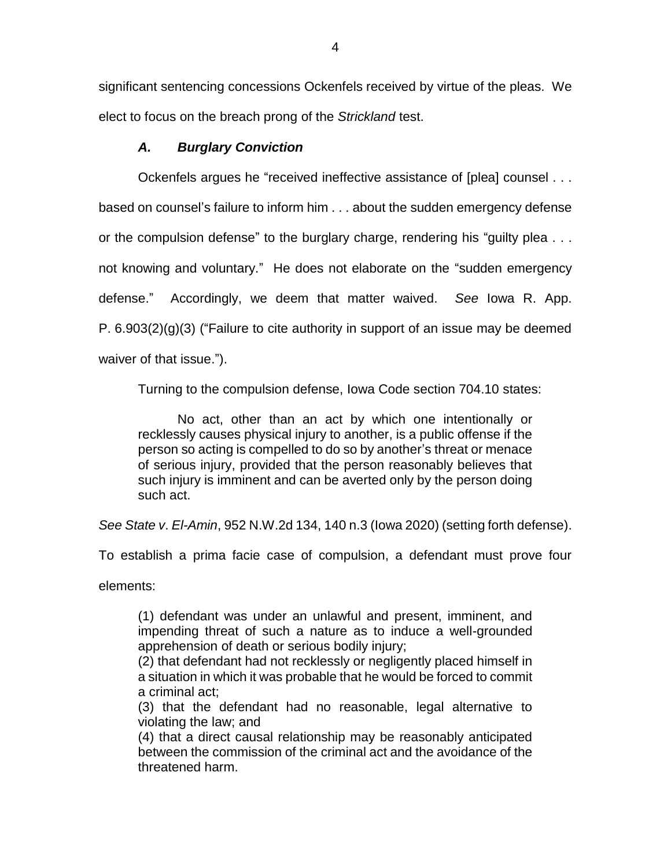significant sentencing concessions Ockenfels received by virtue of the pleas. We elect to focus on the breach prong of the *Strickland* test.

# *A. Burglary Conviction*

Ockenfels argues he "received ineffective assistance of [plea] counsel . . .

based on counsel's failure to inform him . . . about the sudden emergency defense

or the compulsion defense" to the burglary charge, rendering his "guilty plea . . .

not knowing and voluntary." He does not elaborate on the "sudden emergency

defense." Accordingly, we deem that matter waived. *See* Iowa R. App.

P.  $6.903(2)(g)(3)$  ("Failure to cite authority in support of an issue may be deemed

waiver of that issue.").

Turning to the compulsion defense, Iowa Code section 704.10 states:

No act, other than an act by which one intentionally or recklessly causes physical injury to another, is a public offense if the person so acting is compelled to do so by another's threat or menace of serious injury, provided that the person reasonably believes that such injury is imminent and can be averted only by the person doing such act.

*See State v*. *El-Amin*, 952 N.W.2d 134, 140 n.3 (Iowa 2020) (setting forth defense).

To establish a prima facie case of compulsion, a defendant must prove four

elements:

(1) defendant was under an unlawful and present, imminent, and impending threat of such a nature as to induce a well-grounded apprehension of death or serious bodily injury;

(2) that defendant had not recklessly or negligently placed himself in a situation in which it was probable that he would be forced to commit a criminal act;

(3) that the defendant had no reasonable, legal alternative to violating the law; and

(4) that a direct causal relationship may be reasonably anticipated between the commission of the criminal act and the avoidance of the threatened harm.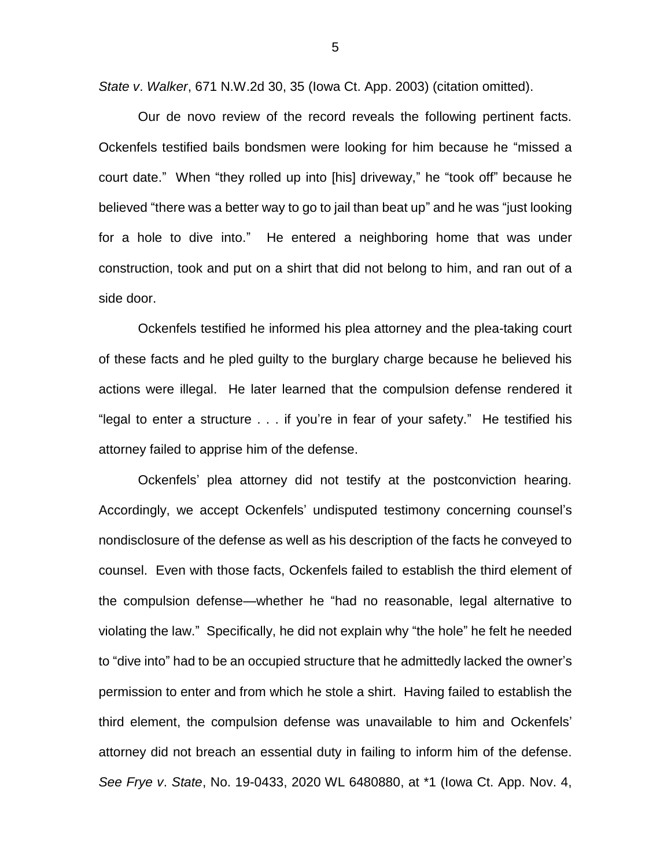*State v*. *Walker*, 671 N.W.2d 30, 35 (Iowa Ct. App. 2003) (citation omitted).

Our de novo review of the record reveals the following pertinent facts. Ockenfels testified bails bondsmen were looking for him because he "missed a court date." When "they rolled up into [his] driveway," he "took off" because he believed "there was a better way to go to jail than beat up" and he was "just looking for a hole to dive into." He entered a neighboring home that was under construction, took and put on a shirt that did not belong to him, and ran out of a side door.

Ockenfels testified he informed his plea attorney and the plea-taking court of these facts and he pled guilty to the burglary charge because he believed his actions were illegal. He later learned that the compulsion defense rendered it "legal to enter a structure . . . if you're in fear of your safety." He testified his attorney failed to apprise him of the defense.

Ockenfels' plea attorney did not testify at the postconviction hearing. Accordingly, we accept Ockenfels' undisputed testimony concerning counsel's nondisclosure of the defense as well as his description of the facts he conveyed to counsel. Even with those facts, Ockenfels failed to establish the third element of the compulsion defense—whether he "had no reasonable, legal alternative to violating the law." Specifically, he did not explain why "the hole" he felt he needed to "dive into" had to be an occupied structure that he admittedly lacked the owner's permission to enter and from which he stole a shirt. Having failed to establish the third element, the compulsion defense was unavailable to him and Ockenfels' attorney did not breach an essential duty in failing to inform him of the defense. *See Frye v*. *State*, No. 19-0433, 2020 WL 6480880, at \*1 (Iowa Ct. App. Nov. 4,

5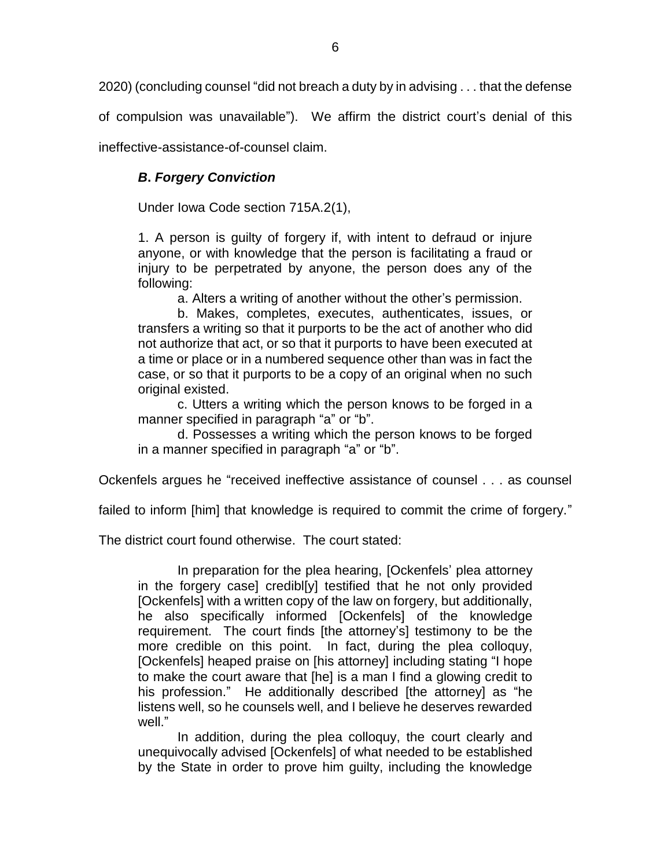2020) (concluding counsel "did not breach a duty by in advising . . . that the defense

of compulsion was unavailable"). We affirm the district court's denial of this

ineffective-assistance-of-counsel claim.

## *B***.** *Forgery Conviction*

Under Iowa Code section 715A.2(1),

1. A person is guilty of forgery if, with intent to defraud or injure anyone, or with knowledge that the person is facilitating a fraud or injury to be perpetrated by anyone, the person does any of the following:

a. Alters a writing of another without the other's permission.

b. Makes, completes, executes, authenticates, issues, or transfers a writing so that it purports to be the act of another who did not authorize that act, or so that it purports to have been executed at a time or place or in a numbered sequence other than was in fact the case, or so that it purports to be a copy of an original when no such original existed.

c. Utters a writing which the person knows to be forged in a manner specified in paragraph "a" or "b".

d. Possesses a writing which the person knows to be forged in a manner specified in paragraph "a" or "b".

Ockenfels argues he "received ineffective assistance of counsel . . . as counsel

failed to inform [him] that knowledge is required to commit the crime of forgery."

The district court found otherwise. The court stated:

In preparation for the plea hearing, [Ockenfels' plea attorney in the forgery case] credibl[y] testified that he not only provided [Ockenfels] with a written copy of the law on forgery, but additionally, he also specifically informed [Ockenfels] of the knowledge requirement. The court finds [the attorney's] testimony to be the more credible on this point. In fact, during the plea colloquy, [Ockenfels] heaped praise on [his attorney] including stating "I hope to make the court aware that [he] is a man I find a glowing credit to his profession." He additionally described [the attorney] as "he listens well, so he counsels well, and I believe he deserves rewarded well."

In addition, during the plea colloquy, the court clearly and unequivocally advised [Ockenfels] of what needed to be established by the State in order to prove him guilty, including the knowledge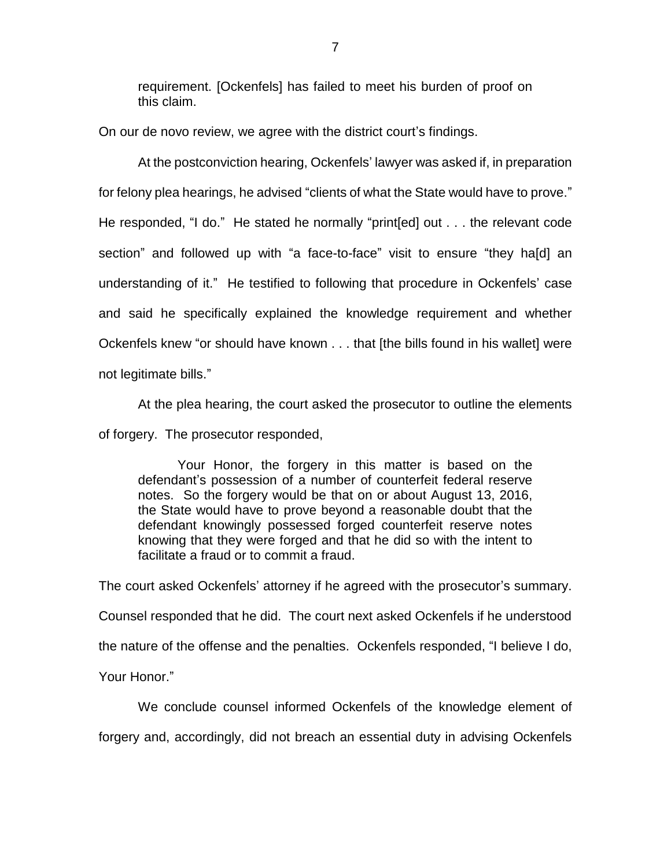requirement. [Ockenfels] has failed to meet his burden of proof on this claim.

On our de novo review, we agree with the district court's findings.

At the postconviction hearing, Ockenfels' lawyer was asked if, in preparation for felony plea hearings, he advised "clients of what the State would have to prove." He responded, "I do." He stated he normally "print[ed] out . . . the relevant code section" and followed up with "a face-to-face" visit to ensure "they ha[d] an understanding of it." He testified to following that procedure in Ockenfels' case and said he specifically explained the knowledge requirement and whether Ockenfels knew "or should have known . . . that [the bills found in his wallet] were not legitimate bills."

At the plea hearing, the court asked the prosecutor to outline the elements of forgery. The prosecutor responded,

Your Honor, the forgery in this matter is based on the defendant's possession of a number of counterfeit federal reserve notes. So the forgery would be that on or about August 13, 2016, the State would have to prove beyond a reasonable doubt that the defendant knowingly possessed forged counterfeit reserve notes knowing that they were forged and that he did so with the intent to facilitate a fraud or to commit a fraud.

The court asked Ockenfels' attorney if he agreed with the prosecutor's summary. Counsel responded that he did. The court next asked Ockenfels if he understood the nature of the offense and the penalties. Ockenfels responded, "I believe I do, Your Honor."

We conclude counsel informed Ockenfels of the knowledge element of forgery and, accordingly, did not breach an essential duty in advising Ockenfels